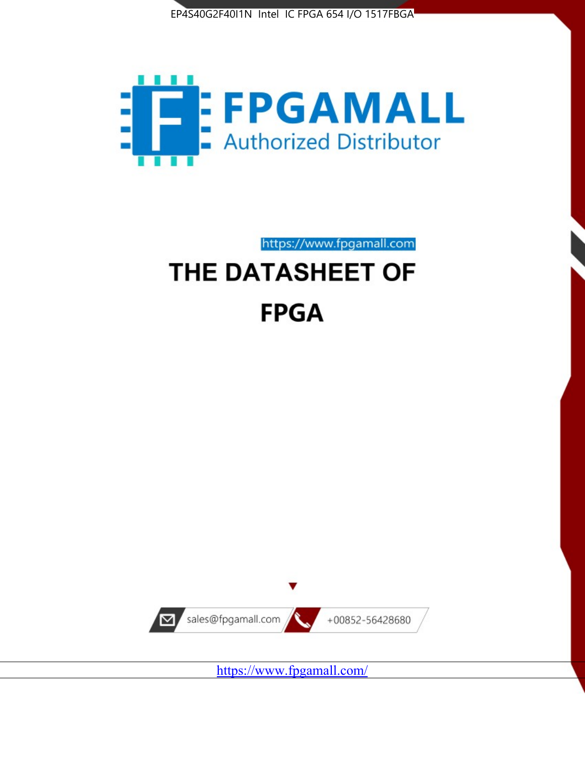



https://www.fpgamall.com

# THE DATASHEET OF **FPGA**



<https://www.fpgamall.com/>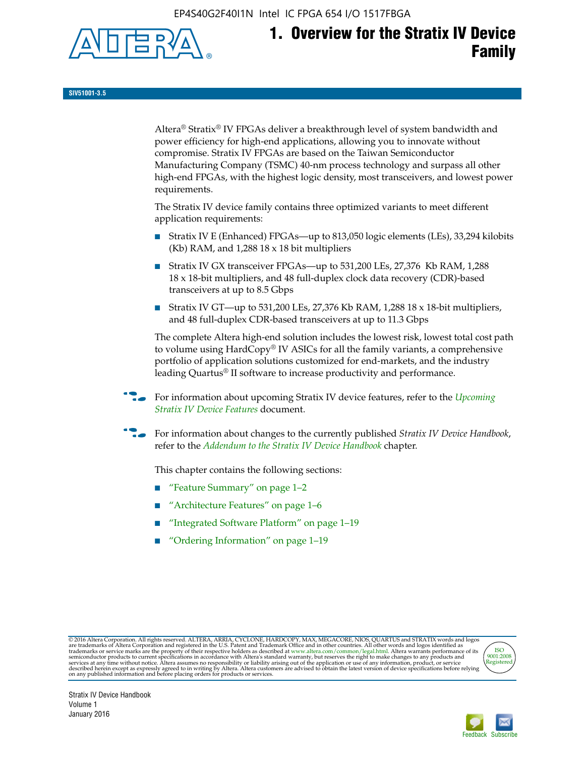EP4S40G2F40I1N Intel IC FPGA 654 I/O 1517FBGA



# **1. Overview for the Stratix IV Device Family**

**SIV51001-3.5**

Altera® Stratix® IV FPGAs deliver a breakthrough level of system bandwidth and power efficiency for high-end applications, allowing you to innovate without compromise. Stratix IV FPGAs are based on the Taiwan Semiconductor Manufacturing Company (TSMC) 40-nm process technology and surpass all other high-end FPGAs, with the highest logic density, most transceivers, and lowest power requirements.

The Stratix IV device family contains three optimized variants to meet different application requirements:

- Stratix IV E (Enhanced) FPGAs—up to 813,050 logic elements (LEs), 33,294 kilobits (Kb) RAM, and 1,288 18 x 18 bit multipliers
- Stratix IV GX transceiver FPGAs—up to 531,200 LEs, 27,376 Kb RAM, 1,288 18 x 18-bit multipliers, and 48 full-duplex clock data recovery (CDR)-based transceivers at up to 8.5 Gbps
- Stratix IV GT—up to 531,200 LEs, 27,376 Kb RAM, 1,288 18 x 18-bit multipliers, and 48 full-duplex CDR-based transceivers at up to 11.3 Gbps

The complete Altera high-end solution includes the lowest risk, lowest total cost path to volume using HardCopy® IV ASICs for all the family variants, a comprehensive portfolio of application solutions customized for end-markets, and the industry leading Quartus® II software to increase productivity and performance.

f For information about upcoming Stratix IV device features, refer to the *[Upcoming](http://www.altera.com/literature/hb/stratix-iv/uf01001.pdf?GSA_pos=2&WT.oss_r=1&WT.oss=upcoming)  [Stratix IV Device Features](http://www.altera.com/literature/hb/stratix-iv/uf01001.pdf?GSA_pos=2&WT.oss_r=1&WT.oss=upcoming)* document.

f For information about changes to the currently published *Stratix IV Device Handbook*, refer to the *[Addendum to the Stratix IV Device Handbook](http://www.altera.com/literature/hb/stratix-iv/stx4_siv54002.pdf)* chapter.

This chapter contains the following sections:

- "Feature Summary" on page 1–2
- "Architecture Features" on page 1–6
- "Integrated Software Platform" on page 1–19
- "Ordering Information" on page 1–19

@2016 Altera Corporation. All rights reserved. ALTERA, ARRIA, CYCLONE, HARDCOPY, MAX, MEGACORE, NIOS, QUARTUS and STRATIX words and logos are trademarks of Altera Corporation and registered in the U.S. Patent and Trademark



Stratix IV Device Handbook Volume 1 January 2016

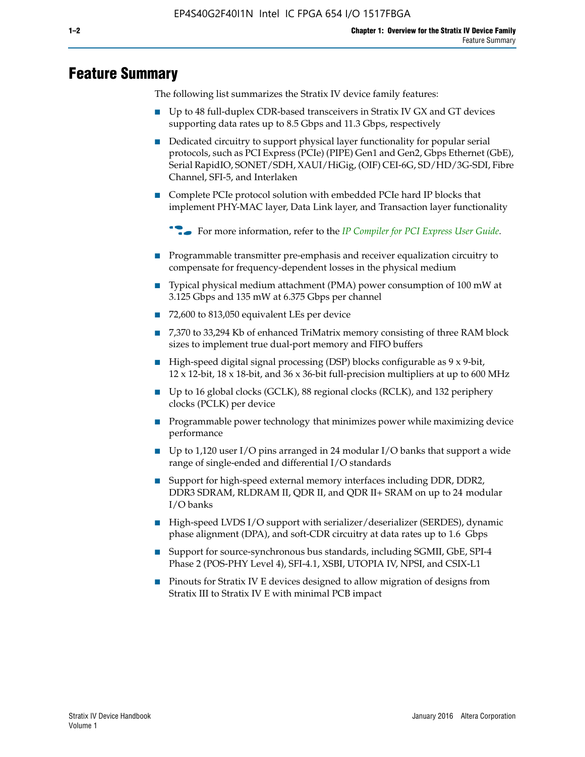# **Feature Summary**

The following list summarizes the Stratix IV device family features:

- Up to 48 full-duplex CDR-based transceivers in Stratix IV GX and GT devices supporting data rates up to 8.5 Gbps and 11.3 Gbps, respectively
- Dedicated circuitry to support physical layer functionality for popular serial protocols, such as PCI Express (PCIe) (PIPE) Gen1 and Gen2, Gbps Ethernet (GbE), Serial RapidIO, SONET/SDH, XAUI/HiGig, (OIF) CEI-6G, SD/HD/3G-SDI, Fibre Channel, SFI-5, and Interlaken
- Complete PCIe protocol solution with embedded PCIe hard IP blocks that implement PHY-MAC layer, Data Link layer, and Transaction layer functionality

**For more information, refer to the** *[IP Compiler for PCI Express User Guide](http://www.altera.com/literature/ug/ug_pci_express.pdf)***.** 

- Programmable transmitter pre-emphasis and receiver equalization circuitry to compensate for frequency-dependent losses in the physical medium
- Typical physical medium attachment (PMA) power consumption of 100 mW at 3.125 Gbps and 135 mW at 6.375 Gbps per channel
- 72,600 to 813,050 equivalent LEs per device
- 7,370 to 33,294 Kb of enhanced TriMatrix memory consisting of three RAM block sizes to implement true dual-port memory and FIFO buffers
- High-speed digital signal processing (DSP) blocks configurable as 9 x 9-bit,  $12 \times 12$ -bit,  $18 \times 18$ -bit, and  $36 \times 36$ -bit full-precision multipliers at up to 600 MHz
- Up to 16 global clocks (GCLK), 88 regional clocks (RCLK), and 132 periphery clocks (PCLK) per device
- Programmable power technology that minimizes power while maximizing device performance
- Up to 1,120 user I/O pins arranged in 24 modular I/O banks that support a wide range of single-ended and differential I/O standards
- Support for high-speed external memory interfaces including DDR, DDR2, DDR3 SDRAM, RLDRAM II, QDR II, and QDR II+ SRAM on up to 24 modular I/O banks
- High-speed LVDS I/O support with serializer/deserializer (SERDES), dynamic phase alignment (DPA), and soft-CDR circuitry at data rates up to 1.6 Gbps
- Support for source-synchronous bus standards, including SGMII, GbE, SPI-4 Phase 2 (POS-PHY Level 4), SFI-4.1, XSBI, UTOPIA IV, NPSI, and CSIX-L1
- Pinouts for Stratix IV E devices designed to allow migration of designs from Stratix III to Stratix IV E with minimal PCB impact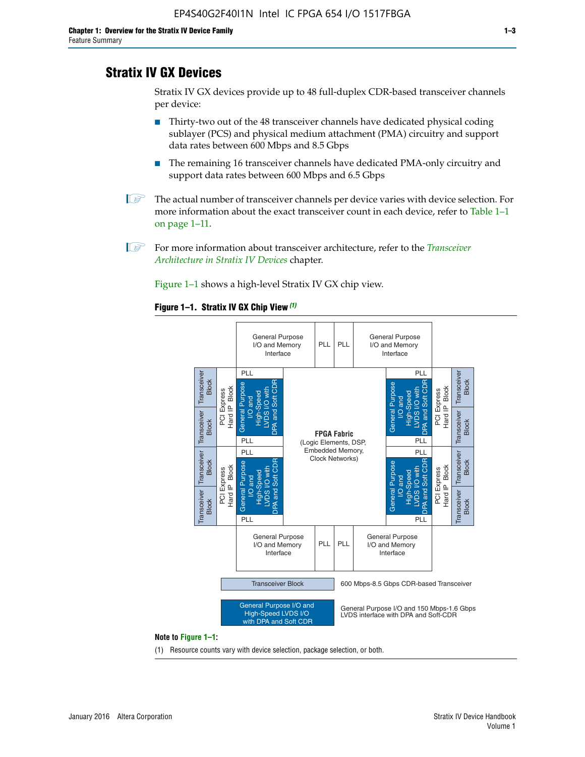# **Stratix IV GX Devices**

Stratix IV GX devices provide up to 48 full-duplex CDR-based transceiver channels per device:

- Thirty-two out of the 48 transceiver channels have dedicated physical coding sublayer (PCS) and physical medium attachment (PMA) circuitry and support data rates between 600 Mbps and 8.5 Gbps
- The remaining 16 transceiver channels have dedicated PMA-only circuitry and support data rates between 600 Mbps and 6.5 Gbps
- **1 The actual number of transceiver channels per device varies with device selection. For** more information about the exact transceiver count in each device, refer to Table 1–1 on page 1–11.
- 1 For more information about transceiver architecture, refer to the *[Transceiver](http://www.altera.com/literature/hb/stratix-iv/stx4_siv52001.pdf)  [Architecture in Stratix IV Devices](http://www.altera.com/literature/hb/stratix-iv/stx4_siv52001.pdf)* chapter.

Figure 1–1 shows a high-level Stratix IV GX chip view.

#### **Figure 1–1. Stratix IV GX Chip View** *(1)*



#### **Note to Figure 1–1:**

(1) Resource counts vary with device selection, package selection, or both.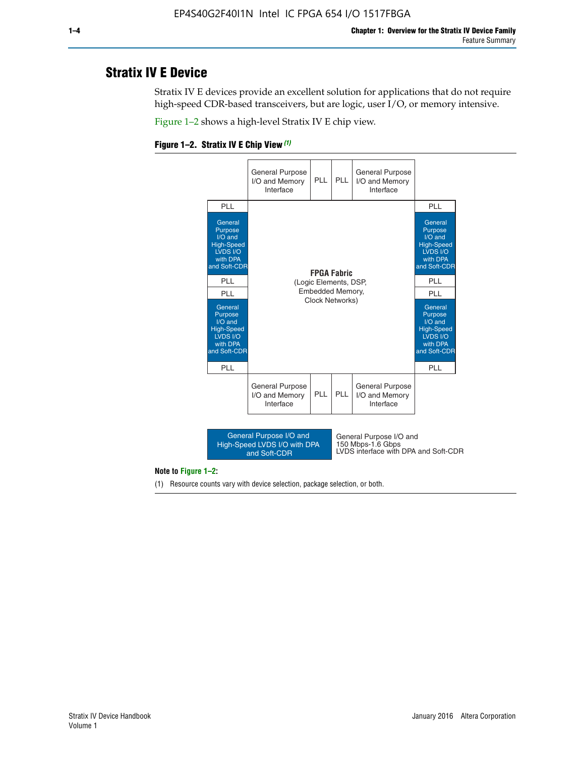# **Stratix IV E Device**

Stratix IV E devices provide an excellent solution for applications that do not require high-speed CDR-based transceivers, but are logic, user I/O, or memory intensive.

Figure 1–2 shows a high-level Stratix IV E chip view.





#### **Note to Figure 1–2:**

(1) Resource counts vary with device selection, package selection, or both.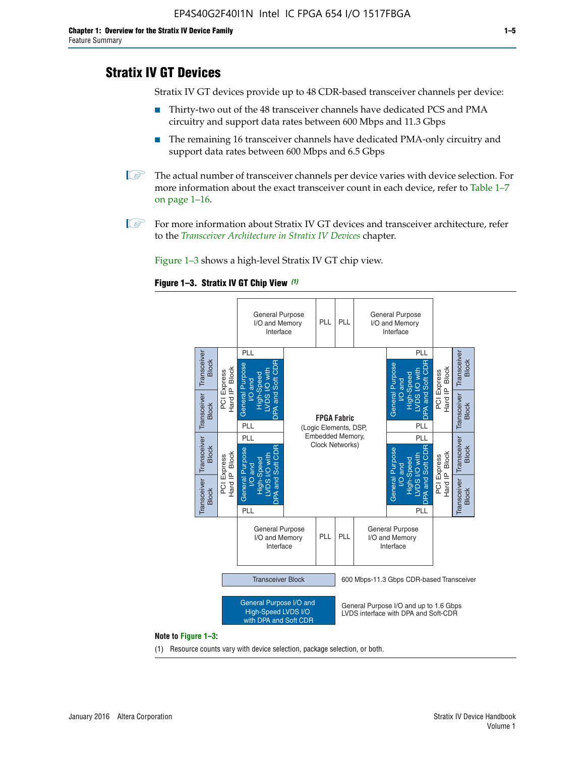# **Stratix IV GT Devices**

Stratix IV GT devices provide up to 48 CDR-based transceiver channels per device:

- Thirty-two out of the 48 transceiver channels have dedicated PCS and PMA circuitry and support data rates between 600 Mbps and 11.3 Gbps
- The remaining 16 transceiver channels have dedicated PMA-only circuitry and support data rates between 600 Mbps and 6.5 Gbps
- **1** The actual number of transceiver channels per device varies with device selection. For more information about the exact transceiver count in each device, refer to Table 1–7 on page 1–16.
- $\mathbb{I}$  For more information about Stratix IV GT devices and transceiver architecture, refer to the *[Transceiver Architecture in Stratix IV Devices](http://www.altera.com/literature/hb/stratix-iv/stx4_siv52001.pdf)* chapter.

Figure 1–3 shows a high-level Stratix IV GT chip view.





(1) Resource counts vary with device selection, package selection, or both.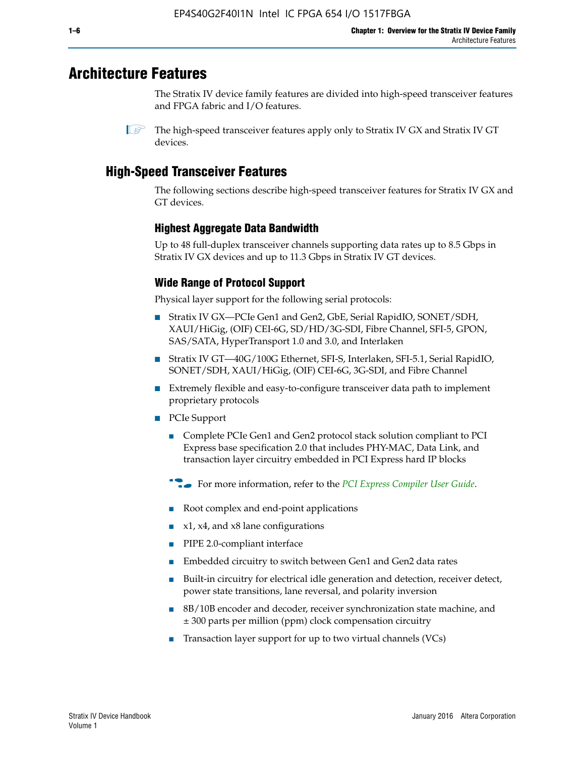# **Architecture Features**

The Stratix IV device family features are divided into high-speed transceiver features and FPGA fabric and I/O features.

 $\mathbb{I}$  The high-speed transceiver features apply only to Stratix IV GX and Stratix IV GT devices.

# **High-Speed Transceiver Features**

The following sections describe high-speed transceiver features for Stratix IV GX and GT devices.

### **Highest Aggregate Data Bandwidth**

Up to 48 full-duplex transceiver channels supporting data rates up to 8.5 Gbps in Stratix IV GX devices and up to 11.3 Gbps in Stratix IV GT devices.

### **Wide Range of Protocol Support**

Physical layer support for the following serial protocols:

- Stratix IV GX—PCIe Gen1 and Gen2, GbE, Serial RapidIO, SONET/SDH, XAUI/HiGig, (OIF) CEI-6G, SD/HD/3G-SDI, Fibre Channel, SFI-5, GPON, SAS/SATA, HyperTransport 1.0 and 3.0, and Interlaken
- Stratix IV GT—40G/100G Ethernet, SFI-S, Interlaken, SFI-5.1, Serial RapidIO, SONET/SDH, XAUI/HiGig, (OIF) CEI-6G, 3G-SDI, and Fibre Channel
- Extremely flexible and easy-to-configure transceiver data path to implement proprietary protocols
- PCIe Support
	- Complete PCIe Gen1 and Gen2 protocol stack solution compliant to PCI Express base specification 2.0 that includes PHY-MAC, Data Link, and transaction layer circuitry embedded in PCI Express hard IP blocks
	- **For more information, refer to the [PCI Express Compiler User Guide](http://www.altera.com/literature/ug/ug_pci_express.pdf).**
	- Root complex and end-point applications
	- $x1, x4,$  and  $x8$  lane configurations
	- PIPE 2.0-compliant interface
	- Embedded circuitry to switch between Gen1 and Gen2 data rates
	- Built-in circuitry for electrical idle generation and detection, receiver detect, power state transitions, lane reversal, and polarity inversion
	- 8B/10B encoder and decoder, receiver synchronization state machine, and ± 300 parts per million (ppm) clock compensation circuitry
	- Transaction layer support for up to two virtual channels (VCs)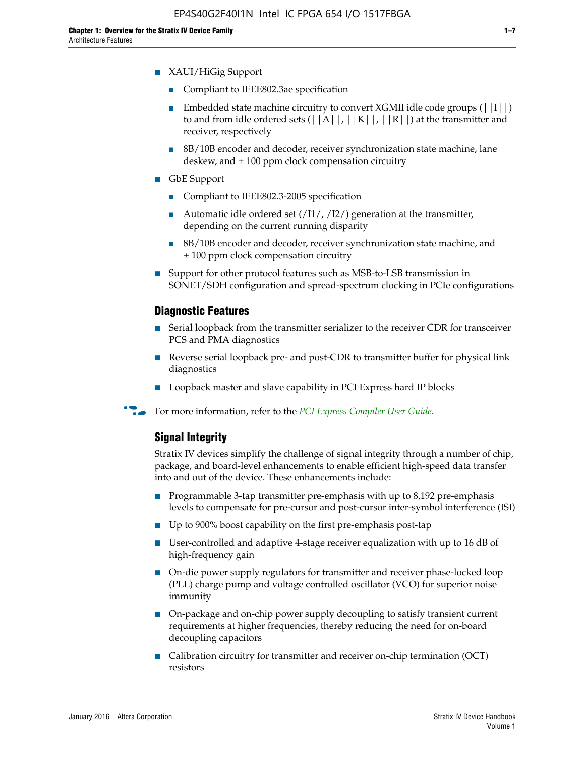- XAUI/HiGig Support
	- Compliant to IEEE802.3ae specification
	- **■** Embedded state machine circuitry to convert XGMII idle code groups  $(|11|)$ to and from idle ordered sets  $(|A|, |K|, |R|)$  at the transmitter and receiver, respectively
	- 8B/10B encoder and decoder, receiver synchronization state machine, lane deskew, and  $\pm 100$  ppm clock compensation circuitry
- GbE Support
	- Compliant to IEEE802.3-2005 specification
	- Automatic idle ordered set  $(111/112/1)$  generation at the transmitter, depending on the current running disparity
	- 8B/10B encoder and decoder, receiver synchronization state machine, and ± 100 ppm clock compensation circuitry
- Support for other protocol features such as MSB-to-LSB transmission in SONET/SDH configuration and spread-spectrum clocking in PCIe configurations

#### **Diagnostic Features**

- Serial loopback from the transmitter serializer to the receiver CDR for transceiver PCS and PMA diagnostics
- Reverse serial loopback pre- and post-CDR to transmitter buffer for physical link diagnostics
- Loopback master and slave capability in PCI Express hard IP blocks
- **For more information, refer to the** *[PCI Express Compiler User Guide](http://www.altera.com/literature/ug/ug_pci_express.pdf)***.**

#### **Signal Integrity**

Stratix IV devices simplify the challenge of signal integrity through a number of chip, package, and board-level enhancements to enable efficient high-speed data transfer into and out of the device. These enhancements include:

- Programmable 3-tap transmitter pre-emphasis with up to 8,192 pre-emphasis levels to compensate for pre-cursor and post-cursor inter-symbol interference (ISI)
- Up to 900% boost capability on the first pre-emphasis post-tap
- User-controlled and adaptive 4-stage receiver equalization with up to 16 dB of high-frequency gain
- On-die power supply regulators for transmitter and receiver phase-locked loop (PLL) charge pump and voltage controlled oscillator (VCO) for superior noise immunity
- On-package and on-chip power supply decoupling to satisfy transient current requirements at higher frequencies, thereby reducing the need for on-board decoupling capacitors
- Calibration circuitry for transmitter and receiver on-chip termination (OCT) resistors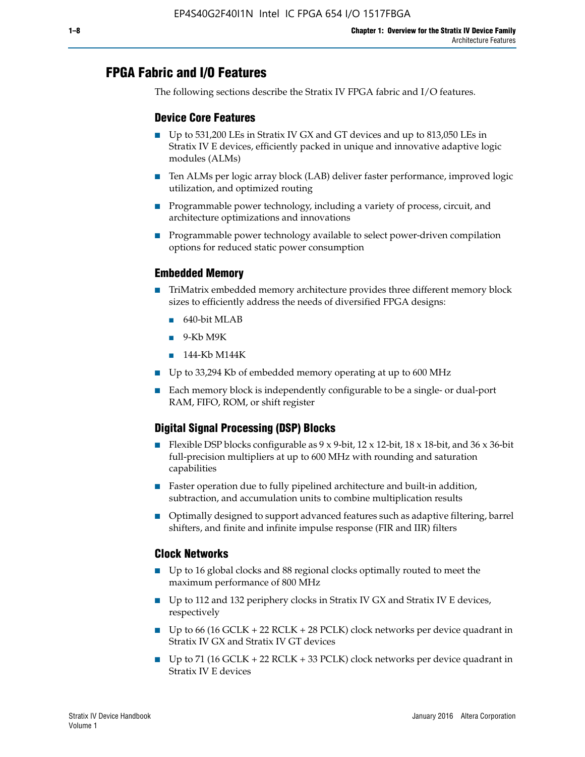# **FPGA Fabric and I/O Features**

The following sections describe the Stratix IV FPGA fabric and I/O features.

### **Device Core Features**

- Up to 531,200 LEs in Stratix IV GX and GT devices and up to 813,050 LEs in Stratix IV E devices, efficiently packed in unique and innovative adaptive logic modules (ALMs)
- Ten ALMs per logic array block (LAB) deliver faster performance, improved logic utilization, and optimized routing
- Programmable power technology, including a variety of process, circuit, and architecture optimizations and innovations
- Programmable power technology available to select power-driven compilation options for reduced static power consumption

#### **Embedded Memory**

- TriMatrix embedded memory architecture provides three different memory block sizes to efficiently address the needs of diversified FPGA designs:
	- 640-bit MLAB
	- 9-Kb M9K
	- 144-Kb M144K
- Up to 33,294 Kb of embedded memory operating at up to 600 MHz
- Each memory block is independently configurable to be a single- or dual-port RAM, FIFO, ROM, or shift register

### **Digital Signal Processing (DSP) Blocks**

- Flexible DSP blocks configurable as  $9 \times 9$ -bit,  $12 \times 12$ -bit,  $18 \times 18$ -bit, and  $36 \times 36$ -bit full-precision multipliers at up to 600 MHz with rounding and saturation capabilities
- Faster operation due to fully pipelined architecture and built-in addition, subtraction, and accumulation units to combine multiplication results
- Optimally designed to support advanced features such as adaptive filtering, barrel shifters, and finite and infinite impulse response (FIR and IIR) filters

#### **Clock Networks**

- Up to 16 global clocks and 88 regional clocks optimally routed to meet the maximum performance of 800 MHz
- Up to 112 and 132 periphery clocks in Stratix IV GX and Stratix IV E devices, respectively
- Up to 66 (16 GCLK + 22 RCLK + 28 PCLK) clock networks per device quadrant in Stratix IV GX and Stratix IV GT devices
- Up to 71 (16 GCLK + 22 RCLK + 33 PCLK) clock networks per device quadrant in Stratix IV E devices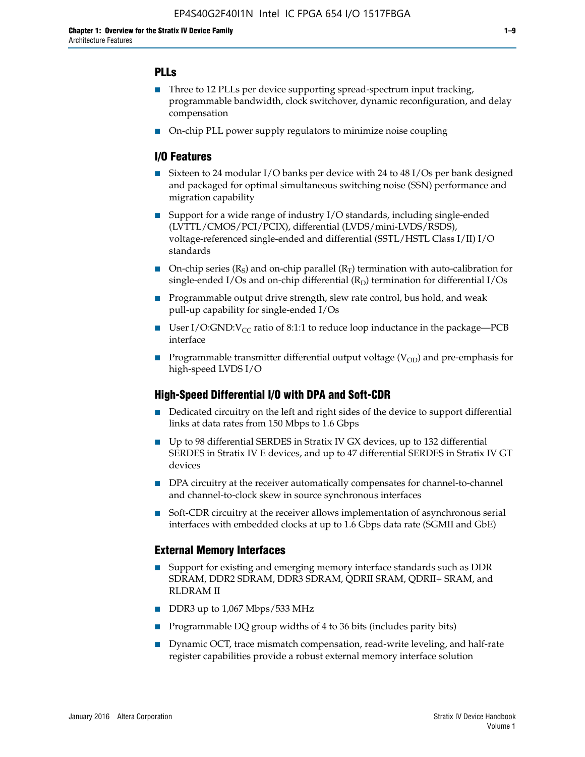### **PLLs**

- Three to 12 PLLs per device supporting spread-spectrum input tracking, programmable bandwidth, clock switchover, dynamic reconfiguration, and delay compensation
- On-chip PLL power supply regulators to minimize noise coupling

#### **I/O Features**

- Sixteen to 24 modular I/O banks per device with 24 to 48 I/Os per bank designed and packaged for optimal simultaneous switching noise (SSN) performance and migration capability
- Support for a wide range of industry I/O standards, including single-ended (LVTTL/CMOS/PCI/PCIX), differential (LVDS/mini-LVDS/RSDS), voltage-referenced single-ended and differential (SSTL/HSTL Class I/II) I/O standards
- **O**n-chip series  $(R_S)$  and on-chip parallel  $(R_T)$  termination with auto-calibration for single-ended I/Os and on-chip differential  $(R_D)$  termination for differential I/Os
- Programmable output drive strength, slew rate control, bus hold, and weak pull-up capability for single-ended I/Os
- User I/O:GND: $V_{CC}$  ratio of 8:1:1 to reduce loop inductance in the package—PCB interface
- **■** Programmable transmitter differential output voltage ( $V_{OD}$ ) and pre-emphasis for high-speed LVDS I/O

#### **High-Speed Differential I/O with DPA and Soft-CDR**

- Dedicated circuitry on the left and right sides of the device to support differential links at data rates from 150 Mbps to 1.6 Gbps
- Up to 98 differential SERDES in Stratix IV GX devices, up to 132 differential SERDES in Stratix IV E devices, and up to 47 differential SERDES in Stratix IV GT devices
- DPA circuitry at the receiver automatically compensates for channel-to-channel and channel-to-clock skew in source synchronous interfaces
- Soft-CDR circuitry at the receiver allows implementation of asynchronous serial interfaces with embedded clocks at up to 1.6 Gbps data rate (SGMII and GbE)

#### **External Memory Interfaces**

- Support for existing and emerging memory interface standards such as DDR SDRAM, DDR2 SDRAM, DDR3 SDRAM, QDRII SRAM, QDRII+ SRAM, and RLDRAM II
- DDR3 up to 1,067 Mbps/533 MHz
- Programmable DQ group widths of 4 to 36 bits (includes parity bits)
- Dynamic OCT, trace mismatch compensation, read-write leveling, and half-rate register capabilities provide a robust external memory interface solution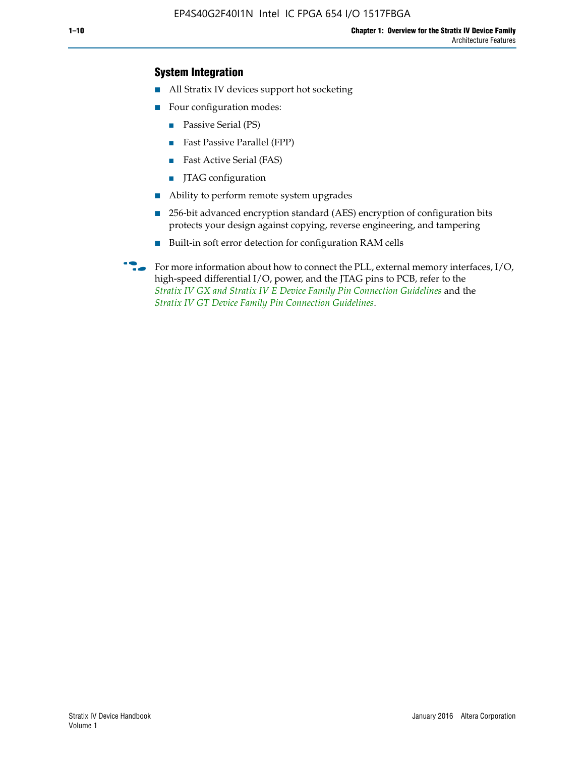### **System Integration**

- All Stratix IV devices support hot socketing
- Four configuration modes:
	- Passive Serial (PS)
	- Fast Passive Parallel (FPP)
	- Fast Active Serial (FAS)
	- JTAG configuration
- Ability to perform remote system upgrades
- 256-bit advanced encryption standard (AES) encryption of configuration bits protects your design against copying, reverse engineering, and tampering
- Built-in soft error detection for configuration RAM cells
- For more information about how to connect the PLL, external memory interfaces,  $I/O$ , high-speed differential I/O, power, and the JTAG pins to PCB, refer to the *[Stratix IV GX and Stratix IV E Device Family Pin Connection Guidelines](http://www.altera.com/literature/dp/stratix4/PCG-01005.pdf)* and the *[Stratix IV GT Device Family Pin Connection Guidelines](http://www.altera.com/literature/dp/stratix4/PCG-01006.pdf)*.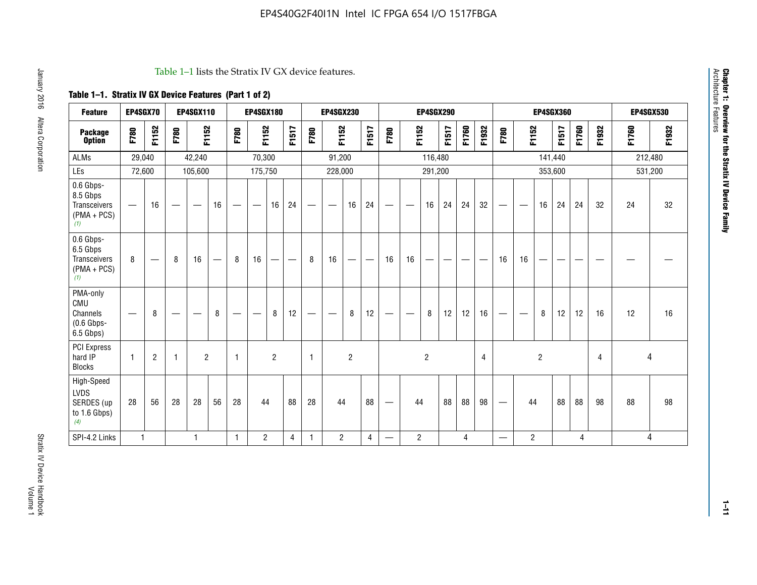#### Table 1–1 lists the Stratix IV GX device features.

## **Table 1–1. Stratix IV GX Device Features (Part 1 of 2)**

| <b>Feature</b>                                                       | EP4SGX70                       |                |                                  | <b>EP4SGX110</b> |    |                                | <b>EP4SGX180</b>               |                |       |              | <b>EP4SGX230</b>         |                          |                               |      |                | <b>EP4SGX290</b> |       |       |       |                          |                   |                | <b>EP4SGX360</b> |       |       |         | <b>EP4SGX530</b> |
|----------------------------------------------------------------------|--------------------------------|----------------|----------------------------------|------------------|----|--------------------------------|--------------------------------|----------------|-------|--------------|--------------------------|--------------------------|-------------------------------|------|----------------|------------------|-------|-------|-------|--------------------------|-------------------|----------------|------------------|-------|-------|---------|------------------|
| <b>Package</b><br><b>Option</b>                                      | F780                           | F1152          | F780                             | F1152            |    | F780                           | F1152                          |                | F1517 | F780         | F1152                    |                          | F1517                         | F780 | F1152          |                  | F1517 | F1760 | F1932 | F780                     | F1152             |                | F1517            | F1760 | F1932 | F1760   | F1932            |
| ALMs                                                                 | 29,040                         |                |                                  | 42,240           |    |                                | 70,300                         |                |       |              | 91,200                   |                          |                               |      |                | 116,480          |       |       |       |                          |                   |                | 141,440          |       |       | 212,480 |                  |
| LEs                                                                  | 72,600                         |                |                                  | 105,600          |    |                                | 175,750                        |                |       |              | 228,000                  |                          |                               |      |                | 291,200          |       |       |       |                          |                   |                | 353,600          |       |       |         | 531,200          |
| 0.6 Gbps-<br>8.5 Gbps<br>Transceivers<br>$(PMA + PCs)$<br>(1)        | $\overline{\phantom{0}}$       | 16             |                                  |                  | 16 |                                | $\qquad \qquad \longleftarrow$ | 16             | 24    |              |                          | 16                       | 24                            |      |                | 16               | 24    | 24    | 32    | $\overline{\phantom{0}}$ |                   | 16             | 24               | 24    | 32    | 24      | 32               |
| 0.6 Gbps-<br>6.5 Gbps<br><b>Transceivers</b><br>$(PMA + PCs)$<br>(1) | 8                              |                | 8                                | 16               | –  | 8                              | 16                             | -              |       | 8            | 16                       | $\overline{\phantom{0}}$ | $\overbrace{\phantom{aaaaa}}$ | 16   | 16             |                  | -     |       |       | 16                       | 16                |                |                  |       |       |         |                  |
| PMA-only<br>CMU<br>Channels<br>$(0.6$ Gbps-<br>6.5 Gbps)             | $\qquad \qquad \longleftarrow$ | 8              | $\overbrace{\phantom{12322111}}$ |                  | 8  | $\qquad \qquad \longleftarrow$ |                                | 8              | 12    | -            | $\overline{\phantom{a}}$ | 8                        | 12                            |      |                | 8                | 12    | 12    | 16    | $\overline{\phantom{0}}$ | $\hspace{0.05cm}$ | 8              | 12               | 12    | 16    | 12      | 16               |
| PCI Express<br>hard IP<br><b>Blocks</b>                              | $\mathbf{1}$                   | $\overline{2}$ |                                  | $\overline{2}$   |    | 1                              |                                | $\overline{2}$ |       | $\mathbf{1}$ |                          | $\overline{c}$           |                               |      |                | $\overline{c}$   |       |       | 4     |                          |                   | $\overline{2}$ |                  |       | 4     |         | 4                |
| High-Speed<br>LVDS<br>SERDES (up<br>to 1.6 Gbps)<br>(4)              | 28                             | 56             | 28                               | 28               | 56 | 28                             | 44                             |                | 88    | 28           | 44                       |                          | 88                            | —    | 44             |                  | 88    | 88    | 98    |                          | 44                |                | 88               | 88    | 98    | 88      | 98               |
| SPI-4.2 Links                                                        | $\mathbf{1}$                   |                |                                  | 1                |    | $\mathbf{1}$                   | $\overline{c}$                 |                | 4     | 1            | $\overline{c}$           |                          | $\overline{4}$                | —    | $\overline{2}$ |                  |       | 4     |       | $\overline{\phantom{0}}$ | $\overline{2}$    |                |                  | 4     |       |         | 4                |

**Chapter 1: Overview for the Stratix IV Device Family**

**Chapter 1: Overview for the Stratix IV Device Family**<br>Architecture Features

Architecture Features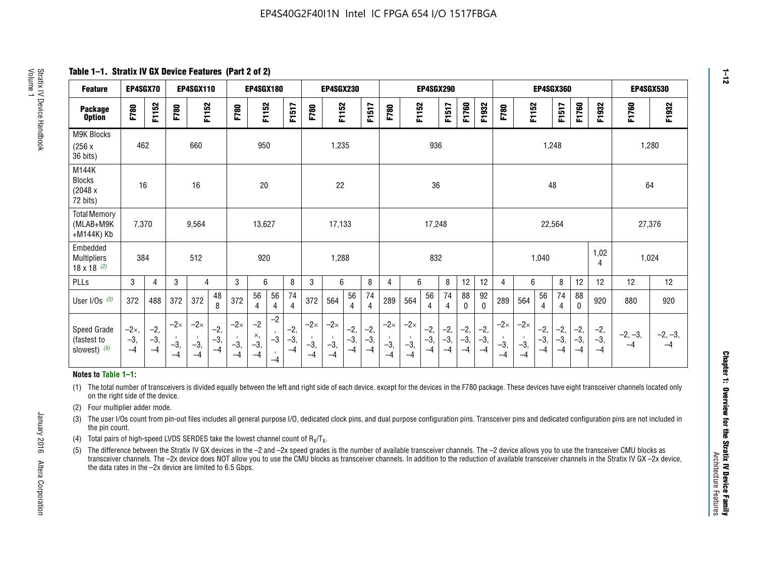**Table 1–1. Stratix IV GX Device Features (Part 2 of 2)**

| <b>Feature</b>                                       | EP4SGX70                      |                        |                             | <b>EP4SGX110</b>            |                       |                             | EP4SGX180                   |                                 |                        |                             | EP4SGX230                   |                        |                        |                             |                                        | EP4SGX290              |                        |                        |                        |                             |                             |                        | EP4SGX360          |                        |                        | <b>EP4SGX530</b>  |                   |
|------------------------------------------------------|-------------------------------|------------------------|-----------------------------|-----------------------------|-----------------------|-----------------------------|-----------------------------|---------------------------------|------------------------|-----------------------------|-----------------------------|------------------------|------------------------|-----------------------------|----------------------------------------|------------------------|------------------------|------------------------|------------------------|-----------------------------|-----------------------------|------------------------|--------------------|------------------------|------------------------|-------------------|-------------------|
| <b>Package</b><br><b>Option</b>                      | F780                          | F1152                  | F780                        | F1152                       |                       | F780                        | F1152                       |                                 | F1517                  | F780                        | F1152                       |                        | F1517                  | F780                        | F1152                                  |                        | F1517                  | F1760                  | F1932                  | F780                        | F1152                       |                        | F1517              | F1760                  | F1932                  | F1760             | F1932             |
| M9K Blocks<br>(256x)<br>36 bits)                     | 462                           |                        |                             | 660                         |                       |                             | 950                         |                                 |                        |                             | 1,235                       |                        |                        |                             |                                        | 936                    |                        |                        |                        |                             |                             |                        | 1,248              |                        |                        | 1,280             |                   |
| M144K<br>Blocks<br>(2048 x)<br>72 bits)              | 16                            |                        |                             | 16                          |                       |                             | 20                          |                                 |                        |                             | 22                          |                        |                        |                             |                                        | 36                     |                        |                        |                        |                             |                             | 48                     |                    |                        |                        | 64                |                   |
| <b>Total Memory</b><br>(MLAB+M9K<br>+M144K) Kb       | 7,370                         |                        |                             | 9,564                       |                       |                             | 13,627                      |                                 |                        |                             | 17,133                      |                        |                        |                             |                                        | 17,248                 |                        |                        |                        |                             |                             | 22,564                 |                    |                        |                        | 27,376            |                   |
| Embedded<br><b>Multipliers</b><br>$18 \times 18$ (2) | 384                           |                        |                             | 512                         |                       |                             | 920                         |                                 |                        |                             | 1,288                       |                        |                        |                             |                                        | 832                    |                        |                        |                        |                             |                             | 1,040                  |                    |                        | 1,02<br>4              | 1,024             |                   |
| PLLs                                                 | 3                             | 4                      | 3                           | 4                           |                       | 3                           | 6                           |                                 | 8                      | 3                           | 6                           |                        | $\, 8$                 | 4                           | 6                                      |                        | 8                      | 12                     | 12                     | 4                           | 6                           |                        | 8                  | 12                     | 12                     | 12                | 12                |
| User I/Os $(3)$                                      | 372                           | 488                    | 372                         | 372                         | 48<br>8               | 372                         | 56<br>4                     | 56<br>4                         | 74<br>4                | 372                         | 564                         | 56<br>4                | 74<br>$\overline{4}$   | 289                         | 564                                    | 56<br>4                | 74<br>4                | 88<br>0                | 92<br>$\mathbf 0$      | 289                         | 564                         | 56<br>4                | 74                 | 88<br>$\mathbf{0}$     | 920                    | 880               | 920               |
| Speed Grade<br>(fastest to<br>slowest) $(5)$         | $-2\times$ ,<br>$-3,$<br>$-4$ | $-2,$<br>$-3,$<br>$-4$ | $-2\times$<br>$-3,$<br>$-4$ | $-2\times$<br>$-3,$<br>$-4$ | $-2,$<br>$-3$<br>$-4$ | $-2\times$<br>$-3,$<br>$-4$ | $-2$<br>×,<br>$-3,$<br>$-4$ | $-2$<br>$-3$<br>$\cdot$<br>$-4$ | $-2,$<br>$-3,$<br>$-4$ | $-2\times$<br>$-3,$<br>$-4$ | $-2\times$<br>$-3,$<br>$-4$ | $-2,$<br>$-3,$<br>$-4$ | $-2,$<br>$-3,$<br>$-4$ | $-2\times$<br>$-3,$<br>$-4$ | $-2\times$<br>$\cdot$<br>$-3,$<br>$-4$ | $-2,$<br>$-3,$<br>$-4$ | $-2,$<br>$-3,$<br>$-4$ | $-2,$<br>$-3,$<br>$-4$ | $-2,$<br>$-3,$<br>$-4$ | $-2\times$<br>$-3,$<br>$-4$ | $-2\times$<br>$-3,$<br>$-4$ | $-2,$<br>$-3,$<br>$-4$ | -2,<br>$-3,$<br>-4 | $-2,$<br>$-3,$<br>$-4$ | $-2,$<br>$-3,$<br>$-4$ | $-2, -3,$<br>$-4$ | $-2, -3,$<br>$-4$ |

#### **Notes to Table 1–1:**

(1) The total number of transceivers is divided equally between the left and right side of each device, except for the devices in the F780 package. These devices have eight transceiver channels located only on the right side of the device.

- (2) Four multiplier adder mode.
- (3) The user I/Os count from pin-out files includes all general purpose I/O, dedicated clock pins, and dual purpose configuration pins. Transceiver pins and dedicated configuration pins are not included in the pin count.
- (4) Total pairs of high-speed LVDS SERDES take the lowest channel count of  $R_X/T_X$ .
- (5) The difference between the Stratix IV GX devices in the –2 and –2x speed grades is the number of available transceiver channels. The –2 device allows you to use the transceiver CMU blocks as transceiver channels. The –2x device does NOT allow you to use the CMU blocks as transceiver channels. In addition to the reduction of available transceiver channels in the Stratix IV GX –2x device, the data rates in the –2x device are limited to 6.5 Gbps.

January 2016 Altera Corporation

Altera Corporation

January 2016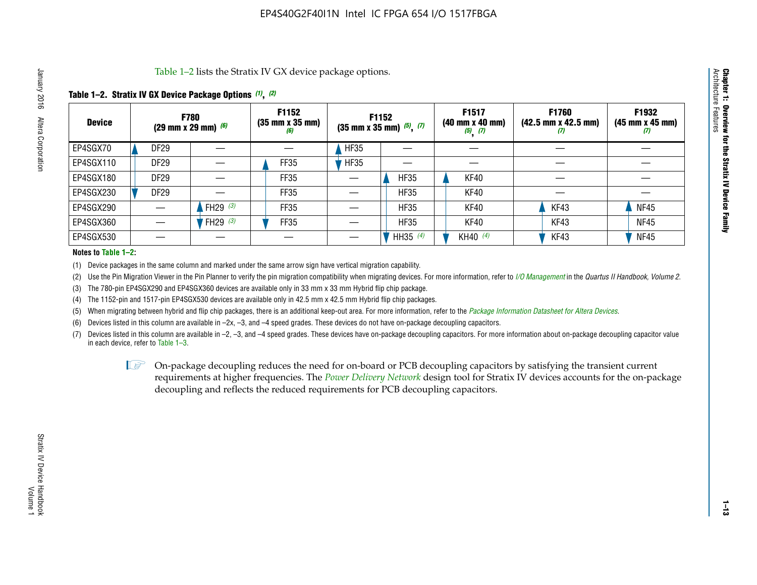Table 1–2 lists the Stratix IV GX device package options.

#### **Table 1–2. Stratix IV GX Device Package Options** *(1)***,** *(2)*

| <b>Device</b> |                  | <b>F780</b><br>(29 mm x 29 mm) $(6)$ | F1152<br>$(35 \, \text{mm} \times 35 \, \text{mm})$<br>(6) |             | <b>F1152</b><br>$(35$ mm x 35 mm) $(5)$ , $(7)$ | F1517<br>(40 mm x 40 mm)<br>$(5)$ $(7)$ | <b>F1760</b><br>$(42.5 \text{ mm} \times 42.5 \text{ mm})$<br>$\boldsymbol{v}$ | F1932<br>$(45 \, \text{mm} \times 45 \, \text{mm})$<br>(7) |
|---------------|------------------|--------------------------------------|------------------------------------------------------------|-------------|-------------------------------------------------|-----------------------------------------|--------------------------------------------------------------------------------|------------------------------------------------------------|
| EP4SGX70      | <b>DF29</b>      |                                      |                                                            | <b>HF35</b> |                                                 |                                         |                                                                                |                                                            |
| EP4SGX110     | DF <sub>29</sub> |                                      | FF35                                                       | <b>HF35</b> |                                                 |                                         |                                                                                |                                                            |
| EP4SGX180     | DF <sub>29</sub> |                                      | FF35                                                       |             | <b>HF35</b>                                     | KF40                                    |                                                                                |                                                            |
| EP4SGX230     | DF <sub>29</sub> |                                      | FF35                                                       |             | <b>HF35</b>                                     | KF40                                    |                                                                                |                                                            |
| EP4SGX290     |                  | FH29 $(3)$                           | <b>FF35</b>                                                |             | <b>HF35</b>                                     | KF40                                    | KF43                                                                           | <b>NF45</b>                                                |
| EP4SGX360     |                  | FH29 $(3)$                           | <b>FF35</b>                                                |             | <b>HF35</b>                                     | KF40                                    | KF43                                                                           | <b>NF45</b>                                                |
| EP4SGX530     |                  |                                      |                                                            |             | HH35 (4)                                        | KH40 (4)                                | KF43                                                                           | <b>NF45</b>                                                |

#### **Notes to Table 1–2:**

(1) Device packages in the same column and marked under the same arrow sign have vertical migration capability.

(2) Use the Pin Migration Viewer in the Pin Planner to verify the pin migration compatibility when migrating devices. For more information, refer to *[I/O Management](http://www.altera.com/literature/hb/qts/qts_qii52013.pdf)* in the *Quartus II Handbook, Volume 2*.

(3) The 780-pin EP4SGX290 and EP4SGX360 devices are available only in 33 mm x 33 mm Hybrid flip chip package.

(4) The 1152-pin and 1517-pin EP4SGX530 devices are available only in 42.5 mm x 42.5 mm Hybrid flip chip packages.

(5) When migrating between hybrid and flip chip packages, there is an additional keep-out area. For more information, refer to the *[Package Information Datasheet for Altera Devices](http://www.altera.com/literature/ds/dspkg.pdf)*.

(6) Devices listed in this column are available in –2x, –3, and –4 speed grades. These devices do not have on-package decoupling capacitors.

(7) Devices listed in this column are available in –2, –3, and –4 speed grades. These devices have on-package decoupling capacitors. For more information about on-package decoupling capacitor value in each device, refer to Table 1–3.

 $\mathbb{D}$  On-package decoupling reduces the need for on-board or PCB decoupling capacitors by satisfying the transient current requirements at higher frequencies. The *[Power Delivery Network](http://www.altera.com/literature/ug/pdn_tool_stxiv.zip)* design tool for Stratix IV devices accounts for the on-package decoupling and reflects the reduced requirements for PCB decoupling capacitors.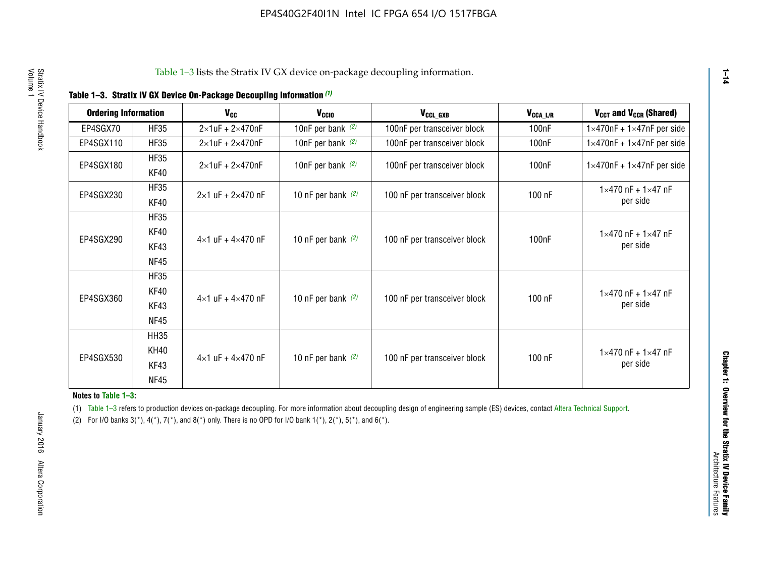| <b>Ordering Information</b> |             | <b>V<sub>cc</sub></b>               | V <sub>ccio</sub>    | V <sub>CCL_GXB</sub>         | $V_{\texttt{CCA}\_\textsf{L/R}}$ | $V_{CCT}$ and $V_{CCR}$ (Shared)              |
|-----------------------------|-------------|-------------------------------------|----------------------|------------------------------|----------------------------------|-----------------------------------------------|
|                             |             |                                     |                      |                              |                                  |                                               |
| EP4SGX70                    | <b>HF35</b> | $2\times1$ uF + $2\times470$ nF     | 10nF per bank $(2)$  | 100nF per transceiver block  | 100nF                            | $1 \times 470$ nF + $1 \times 47$ nF per side |
| EP4SGX110                   | <b>HF35</b> | $2\times1$ uF + 2 $\times$ 470nF    | 10nF per bank $(2)$  | 100nF per transceiver block  | 100 <sub>nF</sub>                | $1\times470$ nF + $1\times47$ nF per side     |
| EP4SGX180                   | <b>HF35</b> | $2\times1$ uF + $2\times470$ nF     | 10nF per bank $(2)$  | 100nF per transceiver block  | 100 <sub>n</sub> F               | $1 \times 470$ nF + $1 \times 47$ nF per side |
|                             | KF40        |                                     |                      |                              |                                  |                                               |
|                             | <b>HF35</b> |                                     |                      |                              |                                  | $1 \times 470$ nF + $1 \times 47$ nF          |
| EP4SGX230                   | KF40        | $2\times1$ uF + $2\times470$ nF     | 10 nF per bank $(2)$ | 100 nF per transceiver block | 100 nF                           | per side                                      |
|                             | <b>HF35</b> |                                     |                      |                              |                                  |                                               |
|                             | KF40        |                                     |                      |                              |                                  | $1 \times 470$ nF + $1 \times 47$ nF          |
| EP4SGX290                   | KF43        | $4 \times 1$ uF + $4 \times 470$ nF | 10 nF per bank $(2)$ | 100 nF per transceiver block | 100nF                            | per side                                      |
|                             | <b>NF45</b> |                                     |                      |                              |                                  |                                               |
|                             | <b>HF35</b> |                                     |                      |                              |                                  |                                               |
|                             | KF40        |                                     |                      |                              |                                  | $1 \times 470$ nF + $1 \times 47$ nF          |
| EP4SGX360                   | KF43        | $4 \times 1$ uF + $4 \times 470$ nF | 10 nF per bank $(2)$ | 100 nF per transceiver block | 100 nF                           | per side                                      |
|                             | <b>NF45</b> |                                     |                      |                              |                                  |                                               |
|                             | <b>HH35</b> |                                     |                      |                              |                                  |                                               |
|                             | <b>KH40</b> |                                     |                      |                              |                                  | $1 \times 470$ nF + $1 \times 47$ nF          |
| EP4SGX530                   | KF43        | $4 \times 1$ uF + $4 \times 470$ nF | 10 nF per bank $(2)$ | 100 nF per transceiver block | 100 nF                           | per side                                      |
|                             | <b>NF45</b> |                                     |                      |                              |                                  |                                               |

**Notes to Table 1–3:**

(1) Table 1-3 refers to production devices on-package decoupling. For more information about decoupling design of engineering sample (ES) devices, contact [Altera Technical Support](http://mysupport.altera.com/eservice/login.asp).

(2) For I/O banks  $3(*)$ ,  $4(*)$ ,  $7(*)$ , and  $8(*)$  only. There is no OPD for I/O bank  $1(*)$ ,  $2(*)$ ,  $5(*)$ , and  $6(*)$ .

**1–14**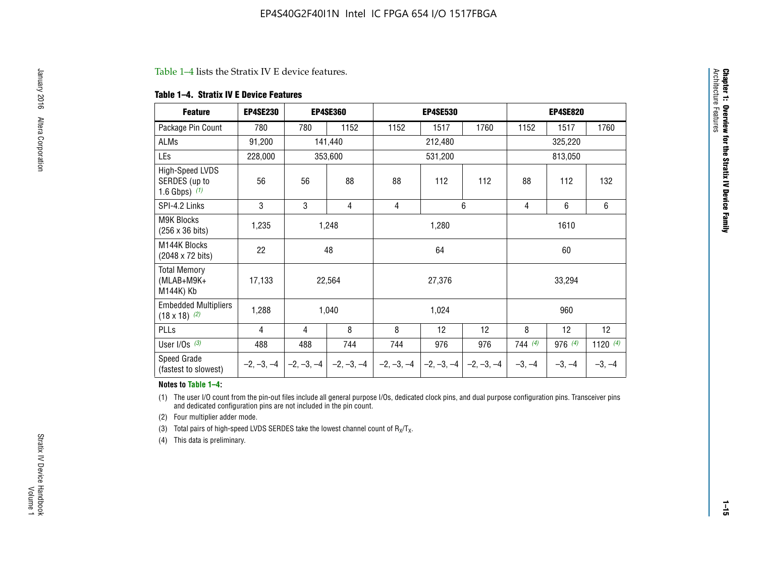#### Table 1–4 lists the Stratix IV E device features.

#### **Table 1–4. Stratix IV E Device Features**

| <b>Feature</b>                                      | <b>EP4SE230</b> |     | <b>EP4SE360</b>                          |              | <b>EP4SE530</b> |              |                | <b>EP4SE820</b> |                 |
|-----------------------------------------------------|-----------------|-----|------------------------------------------|--------------|-----------------|--------------|----------------|-----------------|-----------------|
| Package Pin Count                                   | 780             | 780 | 1152                                     | 1152         | 1517            | 1760         | 1152           | 1517            | 1760            |
| ALMs                                                | 91,200          |     | 141,440                                  |              | 212,480         |              |                | 325,220         |                 |
| LEs                                                 | 228,000         |     | 353,600                                  |              | 531,200         |              |                | 813,050         |                 |
| High-Speed LVDS<br>SERDES (up to<br>1.6 Gbps) $(1)$ | 56              | 56  | 88                                       | 88           | 112             | 112          | 88             | 112             | 132             |
| SPI-4.2 Links                                       | 3               | 3   | 4                                        | 4            |                 | 6            | $\overline{4}$ | 6               | 6               |
| <b>M9K Blocks</b><br>(256 x 36 bits)                | 1,235           |     | 1,248                                    |              | 1,280           |              |                | 1610            |                 |
| M144K Blocks<br>(2048 x 72 bits)                    | 22              |     | 48                                       |              | 64              |              |                | 60              |                 |
| <b>Total Memory</b><br>$(MLAB+M9K+$<br>M144K) Kb    | 17,133          |     | 22,564                                   |              | 27,376          |              |                | 33,294          |                 |
| <b>Embedded Multipliers</b><br>$(18 \times 18)$ (2) | 1,288           |     | 1,040                                    |              | 1,024           |              |                | 960             |                 |
| PLLs                                                | 4               | 4   | 8                                        | 8            | 12              | 12           | 8              | 12              | 12 <sup>2</sup> |
| User I/Os $(3)$                                     | 488             | 488 | 744                                      | 744          | 976             | 976          | 744(4)         | 976(4)          | 1120 $(4)$      |
| Speed Grade<br>(fastest to slowest)                 |                 |     | $-2, -3, -4$ $ -2, -3, -4$ $ -2, -3, -4$ | $-2, -3, -4$ | $-2, -3, -4$    | $-2, -3, -4$ | $-3, -4$       | $-3, -4$        | $-3, -4$        |

#### **Notes to Table 1–4:**

(1) The user I/O count from the pin-out files include all general purpose I/Os, dedicated clock pins, and dual purpose configuration pins. Transceiver pins and dedicated configuration pins are not included in the pin count.

(2) Four multiplier adder mode.

(3) Total pairs of high-speed LVDS SERDES take the lowest channel count of  $R_X/T_X$ .

(4) This data is preliminary.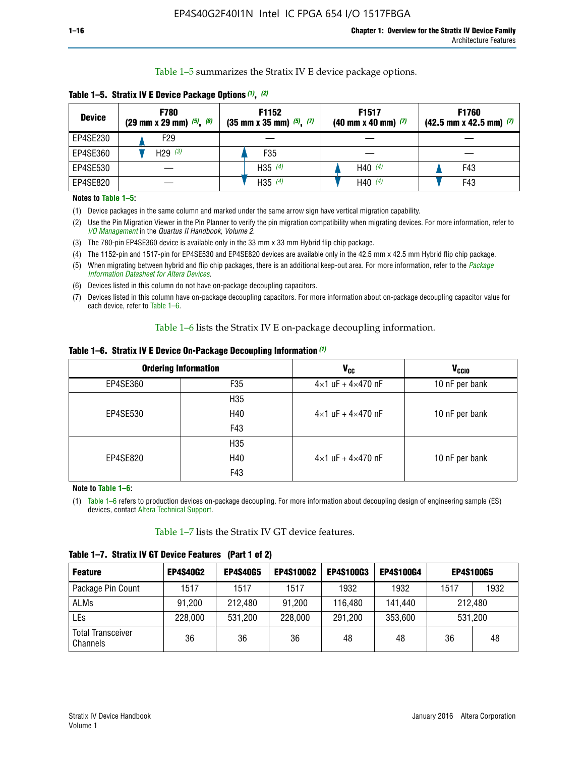Table 1–5 summarizes the Stratix IV E device package options.

| <b>Device</b> | <b>F780</b><br>$(29 \text{ mm} \times 29 \text{ mm})$ $(5)$ , $(6)$ | F1152<br>$(35 \text{ mm} \times 35 \text{ mm})$ $(5)$ , $(7)$ | F <sub>1517</sub><br>$(40 \text{ mm} \times 40 \text{ mm})$ (7) | <b>F1760</b><br>$(42.5$ mm x 42.5 mm) $(7)$ |
|---------------|---------------------------------------------------------------------|---------------------------------------------------------------|-----------------------------------------------------------------|---------------------------------------------|
| EP4SE230      | F29                                                                 |                                                               |                                                                 |                                             |
| EP4SE360      | H <sub>29</sub> $(3)$                                               | F35                                                           |                                                                 |                                             |
| EP4SE530      |                                                                     | H35 $(4)$                                                     | H40 $(4)$                                                       | F43                                         |
| EP4SE820      |                                                                     | H35 $(4)$                                                     | H40 $(4)$                                                       | F43                                         |

**Table 1–5. Stratix IV E Device Package Options** *(1)***,** *(2)*

#### **Notes to Table 1–5:**

(1) Device packages in the same column and marked under the same arrow sign have vertical migration capability.

(2) Use the Pin Migration Viewer in the Pin Planner to verify the pin migration compatibility when migrating devices. For more information, refer to *[I/O Management](http://www.altera.com/literature/hb/qts/qts_qii52013.pdf)* in the *Quartus II Handbook, Volume 2*.

(3) The 780-pin EP4SE360 device is available only in the 33 mm x 33 mm Hybrid flip chip package.

(4) The 1152-pin and 1517-pin for EP4SE530 and EP4SE820 devices are available only in the 42.5 mm x 42.5 mm Hybrid flip chip package.

(5) When migrating between hybrid and flip chip packages, there is an additional keep-out area. For more information, refer to the *[Package](http://www.altera.com/literature/ds/dspkg.pdf)  [Information Datasheet for Altera Devices](http://www.altera.com/literature/ds/dspkg.pdf)*.

(6) Devices listed in this column do not have on-package decoupling capacitors.

(7) Devices listed in this column have on-package decoupling capacitors. For more information about on-package decoupling capacitor value for each device, refer to Table 1–6.

Table 1–6 lists the Stratix IV E on-package decoupling information.

| Table 1–6. Stratix IV E Device On-Package Decoupling Information (1) |  |  |  |  |  |
|----------------------------------------------------------------------|--|--|--|--|--|
|----------------------------------------------------------------------|--|--|--|--|--|

|          | <b>Ordering Information</b> | V <sub>cc</sub>                     | <b>V<sub>CCIO</sub></b> |
|----------|-----------------------------|-------------------------------------|-------------------------|
| EP4SE360 | F <sub>35</sub>             | $4 \times 1$ uF + $4 \times 470$ nF | 10 nF per bank          |
|          | H <sub>35</sub>             |                                     |                         |
| EP4SE530 | H40                         | $4 \times 1$ uF + $4 \times 470$ nF | 10 nF per bank          |
|          | F43                         |                                     |                         |
|          | H <sub>35</sub>             |                                     |                         |
| EP4SE820 | H40                         | $4 \times 1$ uF + $4 \times 470$ nF | 10 nF per bank          |
|          | F43                         |                                     |                         |

**Note to Table 1–6:**

(1) Table 1–6 refers to production devices on-package decoupling. For more information about decoupling design of engineering sample (ES) devices, contact [Altera Technical Support](http://mysupport.altera.com/eservice/login.asp).

Table 1–7 lists the Stratix IV GT device features.

| <b>Feature</b>                       | <b>EP4S40G2</b> | <b>EP4S40G5</b> | <b>EP4S100G2</b> | <b>EP4S100G3</b> | <b>EP4S100G4</b> | <b>EP4S100G5</b> |         |
|--------------------------------------|-----------------|-----------------|------------------|------------------|------------------|------------------|---------|
| Package Pin Count                    | 1517            | 1517            | 1517             | 1932             | 1932             | 1517             | 1932    |
| <b>ALMs</b>                          | 91,200          | 212,480         | 91,200           | 116,480          | 141,440          | 212.480          |         |
| LEs                                  | 228,000         | 531,200         | 228,000          | 291,200          | 353,600          |                  | 531,200 |
| <b>Total Transceiver</b><br>Channels | 36              | 36              | 36               | 48               | 48               | 36               | 48      |

**Table 1–7. Stratix IV GT Device Features (Part 1 of 2)**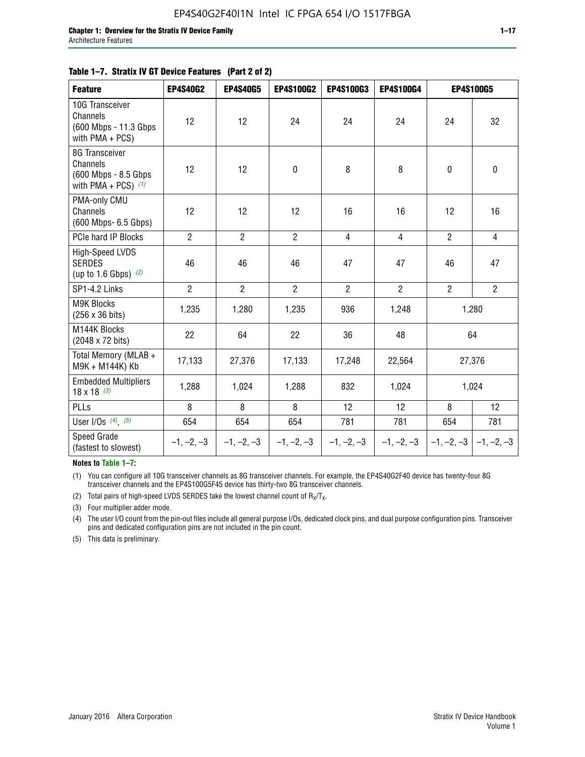#### **Table 1–7. Stratix IV GT Device Features (Part 2 of 2)**

| <b>Feature</b>                                                              | <b>EP4S40G2</b> | <b>EP4S40G5</b> | <b>EP4S100G2</b> | <b>EP4S100G3</b> | <b>EP4S100G4</b> |                           | <b>EP4S100G5</b> |
|-----------------------------------------------------------------------------|-----------------|-----------------|------------------|------------------|------------------|---------------------------|------------------|
| 10G Transceiver<br>Channels<br>(600 Mbps - 11.3 Gbps<br>with PMA + PCS)     | 12              | 12              | 24               | 24               | 24               | 24                        | 32               |
| 8G Transceiver<br>Channels<br>(600 Mbps - 8.5 Gbps<br>with PMA + PCS) $(1)$ | 12              | 12              | $\pmb{0}$        | 8                | 8                | $\mathbf 0$               | $\mathbf 0$      |
| PMA-only CMU<br>Channels<br>(600 Mbps- 6.5 Gbps)                            | 12              | 12              | 12               | 16               | 16               | 12                        | 16               |
| PCIe hard IP Blocks                                                         | $\overline{2}$  | $\overline{2}$  | $\overline{2}$   | $\overline{4}$   | $\overline{4}$   | $\overline{2}$            | $\overline{4}$   |
| <b>High-Speed LVDS</b><br><b>SERDES</b><br>(up to 1.6 Gbps) $(2)$           | 46              | 46              | 46               | 47               | 47               | 46                        | 47               |
| SP1-4.2 Links                                                               | $\overline{2}$  | $\overline{2}$  | $\overline{2}$   | $\overline{2}$   | $\overline{2}$   | $\overline{2}$            | $2^{\circ}$      |
| <b>M9K Blocks</b><br>(256 x 36 bits)                                        | 1,235           | 1,280           | 1,235            | 936              | 1,248            |                           | 1,280            |
| M144K Blocks<br>(2048 x 72 bits)                                            | 22              | 64              | 22               | 36               | 48               |                           | 64               |
| Total Memory (MLAB +<br>M9K + M144K) Kb                                     | 17,133          | 27,376          | 17,133           | 17,248           | 22,564           |                           | 27,376           |
| <b>Embedded Multipliers</b><br>$18 \times 18^{(3)}$                         | 1,288           | 1,024           | 1,288            | 832              | 1,024            |                           | 1,024            |
| PLLs                                                                        | 8               | 8               | 8                | 12               | 12               | 8                         | 12               |
| User I/Os $(4)$ , $(5)$                                                     | 654             | 654             | 654              | 781              | 781              | 654                       | 781              |
| Speed Grade<br>(fastest to slowest)                                         | $-1, -2, -3$    | $-1, -2, -3$    | $-1, -2, -3$     | $-1, -2, -3$     | $-1, -2, -3$     | $-1, -2, -3$ $-1, -2, -3$ |                  |

**Notes to Table 1–7:**

(1) You can configure all 10G transceiver channels as 8G transceiver channels. For example, the EP4S40G2F40 device has twenty-four 8G transceiver channels and the EP4S100G5F45 device has thirty-two 8G transceiver channels.

(2) Total pairs of high-speed LVDS SERDES take the lowest channel count of  $R_X/T_X$ .

(3) Four multiplier adder mode.

(4) The user I/O count from the pin-out files include all general purpose I/Os, dedicated clock pins, and dual purpose configuration pins. Transceiver pins and dedicated configuration pins are not included in the pin count.

(5) This data is preliminary.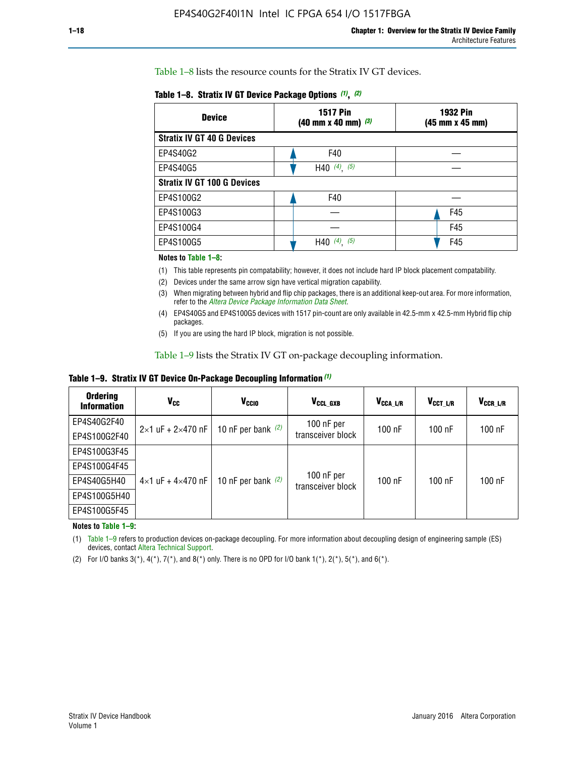Table 1–8 lists the resource counts for the Stratix IV GT devices.

| <b>Device</b>                      | <b>1517 Pin</b><br><b>1932 Pin</b><br>$(40 \text{ mm} \times 40 \text{ mm})$ $(3)$<br>(45 mm x 45 mm) |     |  |
|------------------------------------|-------------------------------------------------------------------------------------------------------|-----|--|
| <b>Stratix IV GT 40 G Devices</b>  |                                                                                                       |     |  |
| EP4S40G2                           | F40                                                                                                   |     |  |
| EP4S40G5                           | H40 $(4)$ , $(5)$                                                                                     |     |  |
| <b>Stratix IV GT 100 G Devices</b> |                                                                                                       |     |  |
| EP4S100G2                          | F40                                                                                                   |     |  |
| EP4S100G3                          |                                                                                                       | F45 |  |
| EP4S100G4                          |                                                                                                       | F45 |  |
| EP4S100G5                          | $(4)$ , $(5)$<br>H40                                                                                  | F45 |  |

#### **Notes to Table 1–8:**

(1) This table represents pin compatability; however, it does not include hard IP block placement compatability.

- (2) Devices under the same arrow sign have vertical migration capability.
- (3) When migrating between hybrid and flip chip packages, there is an additional keep-out area. For more information, refer to the *[Altera Device Package Information Data Sheet](http://www.altera.com/literature/ds/dspkg.pdf)*.
- (4) EP4S40G5 and EP4S100G5 devices with 1517 pin-count are only available in 42.5-mm x 42.5-mm Hybrid flip chip packages.
- (5) If you are using the hard IP block, migration is not possible.

Table 1–9 lists the Stratix IV GT on-package decoupling information.

**Table 1–9. Stratix IV GT Device On-Package Decoupling Information** *(1)*

| <b>Ordering</b><br><b>Information</b> | Vcc                                 | <b>V<sub>CCIO</sub></b> | V <sub>CCL GXB</sub>            | V <sub>CCA L/R</sub> | V <sub>CCT L/R</sub> | V <sub>CCR_L/R</sub> |
|---------------------------------------|-------------------------------------|-------------------------|---------------------------------|----------------------|----------------------|----------------------|
| EP4S40G2F40                           | $2 \times 1$ uF + $2 \times 470$ nF | 10 nF per bank $(2)$    | 100 nF per<br>transceiver block | $100$ nF             | $100$ nF             | $100$ nF             |
| EP4S100G2F40                          |                                     |                         |                                 |                      |                      |                      |
| EP4S100G3F45                          |                                     | 10 nF per bank $(2)$    | 100 nF per<br>transceiver block | $100$ nF             | $100$ nF             | $100$ nF             |
| EP4S100G4F45                          |                                     |                         |                                 |                      |                      |                      |
| EP4S40G5H40                           | $4\times1$ uF + $4\times470$ nF     |                         |                                 |                      |                      |                      |
| EP4S100G5H40                          |                                     |                         |                                 |                      |                      |                      |
| EP4S100G5F45                          |                                     |                         |                                 |                      |                      |                      |

**Notes to Table 1–9:**

(1) Table 1–9 refers to production devices on-package decoupling. For more information about decoupling design of engineering sample (ES) devices, contact [Altera Technical Support](http://mysupport.altera.com/eservice/login.asp).

(2) For I/O banks  $3(*)$ ,  $4(*)$ ,  $7(*)$ , and  $8(*)$  only. There is no OPD for I/O bank  $1(*)$ ,  $2(*)$ ,  $5(*)$ , and  $6(*)$ .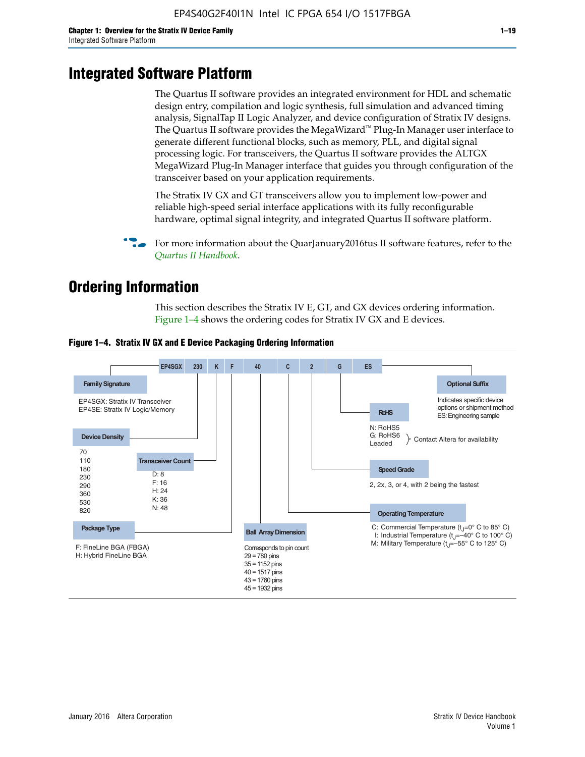# **Integrated Software Platform**

The Quartus II software provides an integrated environment for HDL and schematic design entry, compilation and logic synthesis, full simulation and advanced timing analysis, SignalTap II Logic Analyzer, and device configuration of Stratix IV designs. The Quartus II software provides the MegaWizard<sup> $M$ </sup> Plug-In Manager user interface to generate different functional blocks, such as memory, PLL, and digital signal processing logic. For transceivers, the Quartus II software provides the ALTGX MegaWizard Plug-In Manager interface that guides you through configuration of the transceiver based on your application requirements.

The Stratix IV GX and GT transceivers allow you to implement low-power and reliable high-speed serial interface applications with its fully reconfigurable hardware, optimal signal integrity, and integrated Quartus II software platform.

For more information about the QuarJanuary2016tus II software features, refer to the *[Quartus II Handbook](http://www.altera.com/literature/lit-qts.jsp)*.

# **Ordering Information**

This section describes the Stratix IV E, GT, and GX devices ordering information. Figure 1–4 shows the ordering codes for Stratix IV GX and E devices.



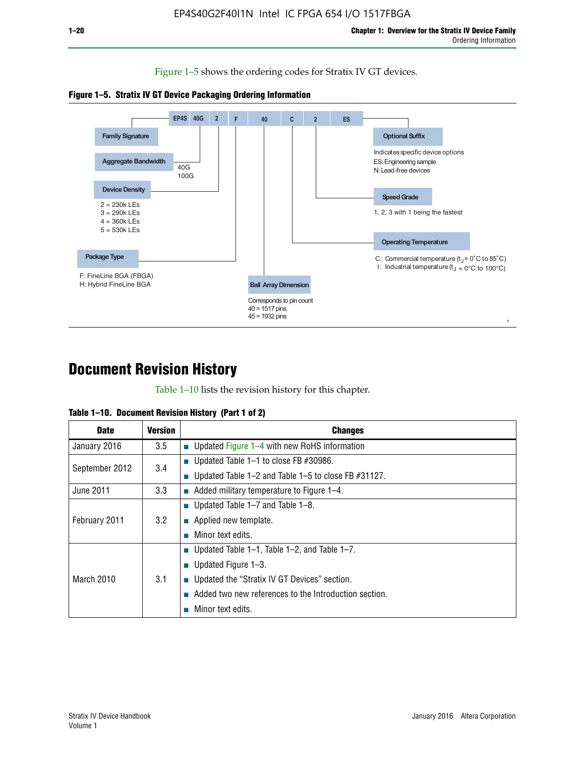Figure 1–5 shows the ordering codes for Stratix IV GT devices.





# **Document Revision History**

Table 1–10 lists the revision history for this chapter.

| Table 1–10. Document Revision History (Part 1 of 2) |  |  |  |  |  |
|-----------------------------------------------------|--|--|--|--|--|
|-----------------------------------------------------|--|--|--|--|--|

| <b>Date</b>       | <b>Version</b> | <b>Changes</b>                                              |
|-------------------|----------------|-------------------------------------------------------------|
| January 2016      | 3.5            | ■ Updated Figure 1–4 with new RoHS information              |
| September 2012    | 3.4            | ■ Updated Table 1–1 to close FB $#30986$ .                  |
|                   |                | Updated Table $1-2$ and Table $1-5$ to close FB $\#31127$ . |
| June 2011         | 3.3            | $\blacksquare$ Added military temperature to Figure 1–4.    |
| February 2011     |                | ■ Updated Table 1–7 and Table 1–8.                          |
|                   | 3.2            | $\blacksquare$ Applied new template.                        |
|                   |                | Minor text edits.                                           |
| <b>March 2010</b> |                | <b>Updated Table 1–1, Table 1–2, and Table 1–7.</b>         |
|                   |                | <b>U</b> Updated Figure 1–3.                                |
|                   | 3.1            | ■ Updated the "Stratix IV GT Devices" section.              |
|                   |                | Added two new references to the Introduction section.       |
|                   |                | Minor text edits.                                           |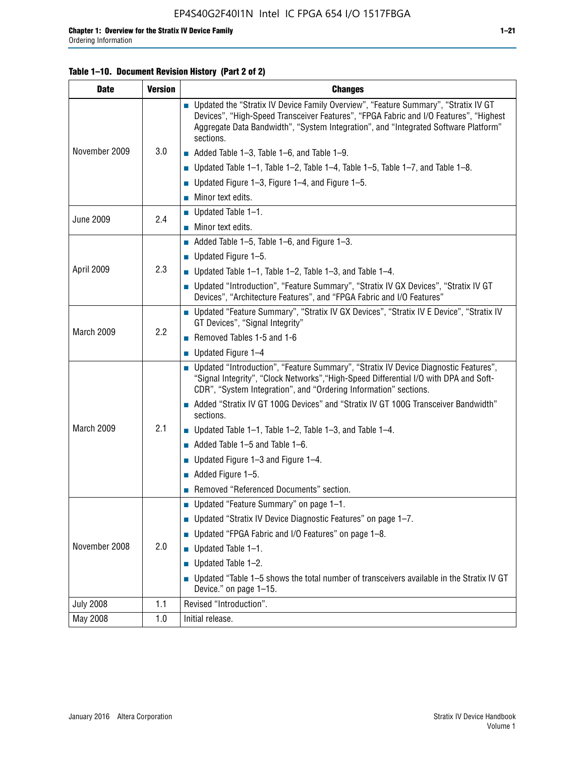#### **Table 1–10. Document Revision History (Part 2 of 2)**

| <b>Date</b>      | <b>Version</b> | <b>Changes</b>                                                                                                                                                                                                                                                                    |  |  |
|------------------|----------------|-----------------------------------------------------------------------------------------------------------------------------------------------------------------------------------------------------------------------------------------------------------------------------------|--|--|
|                  | 3.0            | ■ Updated the "Stratix IV Device Family Overview", "Feature Summary", "Stratix IV GT<br>Devices", "High-Speed Transceiver Features", "FPGA Fabric and I/O Features", "Highest<br>Aggregate Data Bandwidth", "System Integration", and "Integrated Software Platform"<br>sections. |  |  |
| November 2009    |                | $\blacksquare$ Added Table 1-3, Table 1-6, and Table 1-9.                                                                                                                                                                                                                         |  |  |
|                  |                | $\blacksquare$ Updated Table 1-1, Table 1-2, Table 1-4, Table 1-5, Table 1-7, and Table 1-8.                                                                                                                                                                                      |  |  |
|                  |                | ■ Updated Figure 1–3, Figure 1–4, and Figure 1–5.                                                                                                                                                                                                                                 |  |  |
|                  |                | $\blacksquare$ Minor text edits.                                                                                                                                                                                                                                                  |  |  |
|                  | 2.4            | $\blacksquare$ Updated Table 1-1.                                                                                                                                                                                                                                                 |  |  |
| <b>June 2009</b> |                | $\blacksquare$ Minor text edits.                                                                                                                                                                                                                                                  |  |  |
|                  |                | $\blacksquare$ Added Table 1–5, Table 1–6, and Figure 1–3.                                                                                                                                                                                                                        |  |  |
|                  |                | $\blacksquare$ Updated Figure 1-5.                                                                                                                                                                                                                                                |  |  |
| April 2009       | 2.3            | Updated Table $1-1$ , Table $1-2$ , Table $1-3$ , and Table $1-4$ .                                                                                                                                                                                                               |  |  |
|                  |                | ■ Updated "Introduction", "Feature Summary", "Stratix IV GX Devices", "Stratix IV GT<br>Devices", "Architecture Features", and "FPGA Fabric and I/O Features"                                                                                                                     |  |  |
| March 2009       | 2.2            | ■ Updated "Feature Summary", "Stratix IV GX Devices", "Stratix IV E Device", "Stratix IV<br>GT Devices", "Signal Integrity"                                                                                                                                                       |  |  |
|                  |                | Removed Tables 1-5 and 1-6                                                                                                                                                                                                                                                        |  |  |
|                  |                | $\blacksquare$ Updated Figure 1-4                                                                                                                                                                                                                                                 |  |  |
|                  |                | ■ Updated "Introduction", "Feature Summary", "Stratix IV Device Diagnostic Features",<br>"Signal Integrity", "Clock Networks", "High-Speed Differential I/O with DPA and Soft-<br>CDR", "System Integration", and "Ordering Information" sections.                                |  |  |
|                  |                | Added "Stratix IV GT 100G Devices" and "Stratix IV GT 100G Transceiver Bandwidth"<br>sections.                                                                                                                                                                                    |  |  |
| March 2009       | 2.1            | ■ Updated Table 1–1, Table 1–2, Table 1–3, and Table 1–4.                                                                                                                                                                                                                         |  |  |
|                  |                | $\blacksquare$ Added Table 1–5 and Table 1–6.                                                                                                                                                                                                                                     |  |  |
|                  |                | ■ Updated Figure 1–3 and Figure 1–4.                                                                                                                                                                                                                                              |  |  |
|                  |                | $\blacksquare$ Added Figure 1-5.                                                                                                                                                                                                                                                  |  |  |
|                  |                | Removed "Referenced Documents" section.                                                                                                                                                                                                                                           |  |  |
|                  | 2.0            | Updated "Feature Summary" on page 1-1.                                                                                                                                                                                                                                            |  |  |
|                  |                | ■ Updated "Stratix IV Device Diagnostic Features" on page 1-7.                                                                                                                                                                                                                    |  |  |
| November 2008    |                | ■ Updated "FPGA Fabric and I/O Features" on page 1-8.                                                                                                                                                                                                                             |  |  |
|                  |                | $\blacksquare$ Updated Table 1-1.                                                                                                                                                                                                                                                 |  |  |
|                  |                | Updated Table 1-2.<br>П                                                                                                                                                                                                                                                           |  |  |
|                  |                | Updated "Table 1-5 shows the total number of transceivers available in the Stratix IV GT<br>Device." on page 1-15.                                                                                                                                                                |  |  |
| <b>July 2008</b> | 1.1            | Revised "Introduction".                                                                                                                                                                                                                                                           |  |  |
| May 2008         | 1.0            | Initial release.                                                                                                                                                                                                                                                                  |  |  |